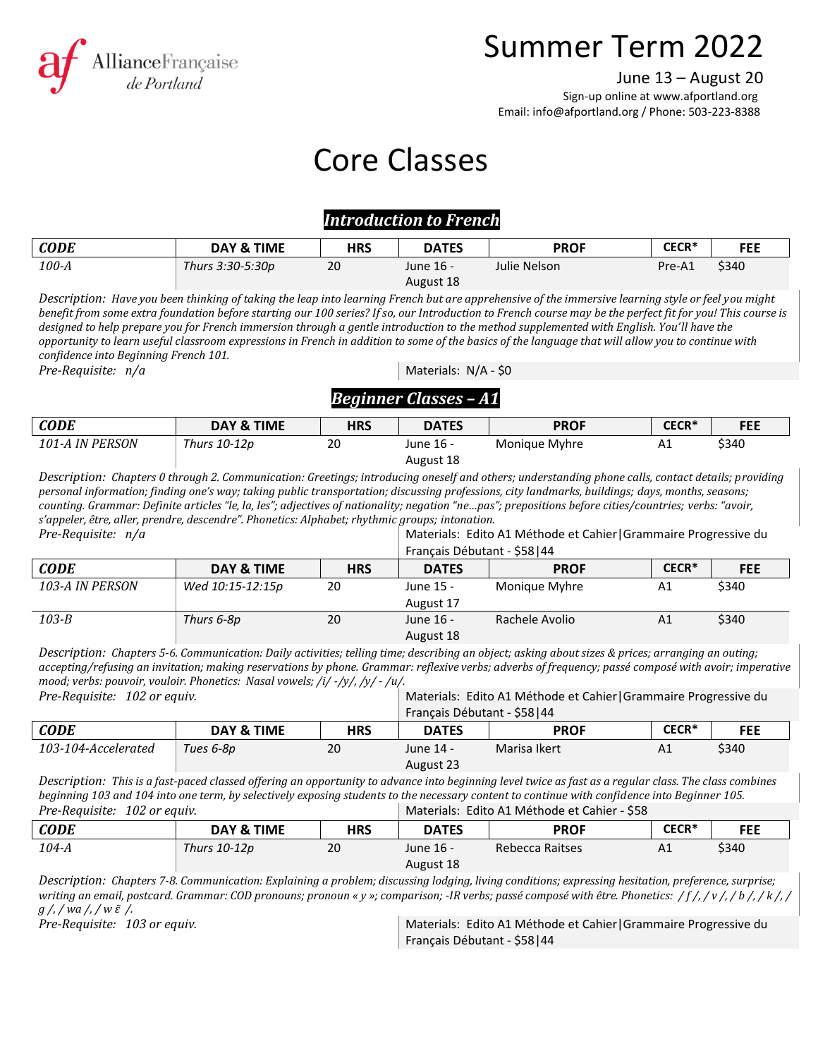

# Summer Term 2022

June 13 – August 20

Sign-up online at www.afportland.org Email: info@afportland.org / Phone: 503-223-8388

# Core Classes

### *Introduction to French*

| <b>CODE</b> | DAY & TIME       | <b>HRS</b> | <b>DATES</b> | <b>PROF</b>   | CECR <sup>*</sup> | <b>FEE</b> |
|-------------|------------------|------------|--------------|---------------|-------------------|------------|
| $100-A$     | Thurs 3:30-5:30p | 20         | June 16 -    | Julie Nelson. | Pre-A1            | \$340      |
|             |                  |            | August 18    |               |                   |            |

*Description: Have you been thinking of taking the leap into learning French but are apprehensive of the immersive learning style or feel you might benefit from some extra foundation before starting our 100 series? If so, our Introduction to French course may be the perfect fit for you! This course is designed to help prepare you for French immersion through a gentle introduction to the method supplemented with English. You'll have the opportunity to learn useful classroom expressions in French in addition to some of the basics of the language that will allow you to continue with confidence into Beginning French 101. Pre-Requisite: n/a* Materials: N/A - \$0

# *Beginner Classes – A1*

| <b>CODE</b>            | <b>DAY &amp; TIME</b> | <b>HRS</b> | <b>DATES</b> | <b>PROF</b>   | CECR <sup>*</sup> | <b>FEE</b> |
|------------------------|-----------------------|------------|--------------|---------------|-------------------|------------|
| <b>101-A IN PERSON</b> | Thurs 10-12p          | 20         | June 16 -    | Monique Myhre | A1                | \$340      |
|                        |                       |            | August 18    |               |                   |            |

*Description: Chapters 0 through 2. Communication: Greetings; introducing oneself and others; understanding phone calls, contact details; providing personal information; finding one's way; taking public transportation; discussing professions, city landmarks, buildings; days, months, seasons; counting. Grammar: Definite articles "le, la, les"; adjectives of nationality; negation "ne…pas"; prepositions before cities/countries; verbs: "avoir, s'appeler, être, aller, prendre, descendre". Phonetics: Alphabet; rhythmic groups; intonation.* Pre-Requisite:  $n/a$  **Materials: Edito A1 Méthode et Cahier|Grammaire Progressive du** 

|                        |                  |            | Français Débutant - \$58   44 |                |                   |            |
|------------------------|------------------|------------|-------------------------------|----------------|-------------------|------------|
| <b>CODE</b>            | DAY & TIME       | <b>HRS</b> | <b>DATES</b>                  | <b>PROF</b>    | CECR <sup>*</sup> | <b>FEE</b> |
| <b>103-A IN PERSON</b> | Wed 10:15-12:15p | 20         | June 15 -                     | Monique Myhre  | Α1                | \$340      |
|                        |                  |            | August 17                     |                |                   |            |
| $103-B$                | Thurs 6-8p       | 20         | June 16 -                     | Rachele Avolio | A <sub>1</sub>    | \$340      |
|                        |                  |            | August 18                     |                |                   |            |

*Description: Chapters 5-6. Communication: Daily activities; telling time; describing an object; asking about sizes & prices; arranging an outing; accepting/refusing an invitation; making reservations by phone. Grammar: reflexive verbs; adverbs of frequency; passé composé with avoir; imperative mood; verbs: pouvoir, vouloir. Phonetics: Nasal vowels; /i/ -/y/, /y/ - /u/. Pre-Requisite: 102 or equiv.* Materials: Edito A1 Méthode et Cahier|Grammaire Progressive du

|                     |            | Français Débutant - \$58   44<br>HRS<br><b>DATES</b><br><b>PROF</b><br>20<br>Marisa Ikert<br>June 14 - |           |              |            |
|---------------------|------------|--------------------------------------------------------------------------------------------------------|-----------|--------------|------------|
| <b>CODE</b>         | DAY & TIME |                                                                                                        |           | <b>CECR*</b> | <b>FEE</b> |
| 103-104-Accelerated | Tues 6-8p  |                                                                                                        |           | A1           | \$340      |
|                     |            |                                                                                                        | August 23 |              |            |

*Description: This is a fast-paced classed offering an opportunity to advance into beginning level twice as fast as a regular class. The class combines beginning 103 and 104 into one term, by selectively exposing students to the necessary content to continue with confidence into Beginner 105.*  Pre-Requisite: 102 or equiv. Materials: Edito A1 Méthode et Cahier - \$58

| $1.0$ and $\alpha$ and $\alpha$ and $\alpha$ and $\alpha$ and $\alpha$ and $\alpha$ and $\alpha$ and $\alpha$ and $\alpha$ and $\alpha$ and $\alpha$ and $\alpha$ and $\alpha$ and $\alpha$ and $\alpha$ and $\alpha$ and $\alpha$ and $\alpha$ and $\alpha$ and $\alpha$ and $\alpha$ and $\alpha$ and $\alpha$ and $\alpha$ |              |            |              |                 |                   |            |  |
|-------------------------------------------------------------------------------------------------------------------------------------------------------------------------------------------------------------------------------------------------------------------------------------------------------------------------------|--------------|------------|--------------|-----------------|-------------------|------------|--|
| <b>CODE</b>                                                                                                                                                                                                                                                                                                                   | DAY & TIME   | <b>HRS</b> | <b>DATES</b> | <b>PROF</b>     | CECR <sup>*</sup> | <b>FEE</b> |  |
| 104-A                                                                                                                                                                                                                                                                                                                         | Thurs 10-12p | 20         | June 16 -    | Rebecca Raitses | A1                | \$340      |  |
|                                                                                                                                                                                                                                                                                                                               |              |            | August 18    |                 |                   |            |  |

*Description: Chapters 7-8. Communication: Explaining a problem; discussing lodging, living conditions; expressing hesitation, preference, surprise; writing an email, postcard. Grammar: COD pronouns; pronoun « y »; comparison; -IR verbs; passé composé with être. Phonetics: / f /, / v /, / b /, / k /, / g /, / wa /, / w ɛ̃ /.*

Pre-Requisite: 103 or equiv. **Materials: Edito A1 Méthode et Cahier** Grammaire Progressive du Français Débutant - \$58|44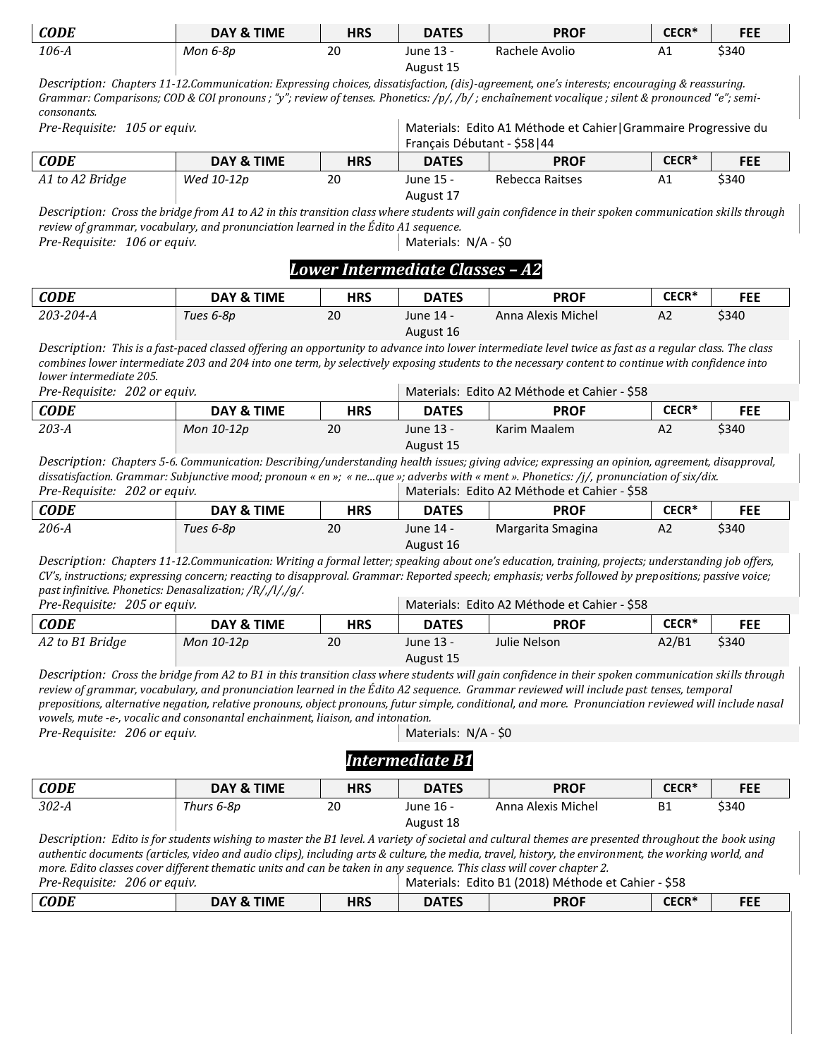| <b>CODE</b> | DAY & TIME | HRS | <b>DATES</b> | <b>PROF</b>    | CECR <sup>*</sup> | <b>FEE</b> |
|-------------|------------|-----|--------------|----------------|-------------------|------------|
| 106-A       | Mon 6-8p   | 20  | June 13 -    | Rachele Avolio | A1                | \$340      |
|             |            |     | August 15    |                |                   |            |

*Description: Chapters 11-12.Communication: Expressing choices, dissatisfaction, (dis)-agreement, one's interests; encouraging & reassuring.*  Grammar: Comparisons; COD & COI pronouns ; "y"; review of tenses. Phonetics: /p/, /b/ ; enchaînement vocalique ; silent & pronounced "e"; semi*consonants. Pre-Requisite: 105 or equiv.* Materials: Edito A1 Méthode et Cahier|Grammaire Progressive du

| Pre-Requisite: 105 or equiv. |            |            | -Materials: Edito AI Methode et CanierTGrammaire Progressive du<br>Français Débutant - \$58   44 |                 |       |            |
|------------------------------|------------|------------|--------------------------------------------------------------------------------------------------|-----------------|-------|------------|
| <b>CODE</b>                  | DAY & TIME | <b>HRS</b> | <b>DATES</b>                                                                                     | <b>PROF</b>     | CECR* | <b>FEE</b> |
| A1 to A2 Bridge              | Wed 10-12p | 20         | June 15 -                                                                                        | Rebecca Raitses |       | \$340      |

*Description: Cross the bridge from A1 to A2 in this transition class where students will gain confidence in their spoken communication skills through review of grammar, vocabulary, and pronunciation learned in the Édito A1 sequence. Pre-Requisite: 106 or equiv.* Materials: N/A - \$0

#### *Lower Intermediate Classes – A2*

August 17

| <b>CODE</b> | DAY & TIME | <b>HRS</b> | <b>DATES</b> | <b>PROF</b>        | CECR* | <b>FEE</b> |
|-------------|------------|------------|--------------|--------------------|-------|------------|
| 203-204-A   | Tues 6-8p  | 20         | June 14 -    | Anna Alexis Michel | A2    | \$340      |
|             |            |            | August 16    |                    |       |            |

*Description: This is a fast-paced classed offering an opportunity to advance into lower intermediate level twice as fast as a regular class. The class combines lower intermediate 203 and 204 into one term, by selectively exposing students to the necessary content to continue with confidence into lower intermediate 205.* 

Pre-Requisite: 202 or equiv. Materials: Edito A2 Méthode et Cahier - \$58

| <b>CODE</b> | DAY & TIME | <b>HRS</b> | <b>DATES</b> | <b>PROF</b>  | <b>CECR*</b> | <b>FEE</b> |
|-------------|------------|------------|--------------|--------------|--------------|------------|
| $203-A$     | Mon 10-12p | 20         | June 13 -    | Karim Maalem | ΑZ           | \$340      |
|             |            |            | August 15    |              |              |            |

*Description: Chapters 5-6. Communication: Describing/understanding health issues; giving advice; expressing an opinion, agreement, disapproval, dissatisfaction. Grammar: Subjunctive mood; pronoun « en »; « ne…que »; adverbs with « ment ». Phonetics: /j/, pronunciation of six/dix. Pre-Requisite: 202 or equiv.* Materials: Edito A2 Méthode et Cahier - \$58

| The Requisition Bob of cause |            |     |              |                   |       |            |  |  |
|------------------------------|------------|-----|--------------|-------------------|-------|------------|--|--|
| <b>CODE</b>                  | DAY & TIME | HRS | <b>DATES</b> | <b>PROF</b>       | CECR* | <b>FEE</b> |  |  |
| $206-A$                      | Tues 6-8p  | 20  | June 14 -    | Margarita Smagina | A2    | \$340      |  |  |
|                              |            |     | August 16    |                   |       |            |  |  |

*Description: Chapters 11-12.Communication: Writing a formal letter; speaking about one's education, training, projects; understanding job offers, CV's, instructions; expressing concern; reacting to disapproval. Grammar: Reported speech; emphasis; verbs followed by prepositions; passive voice; past infinitive. Phonetics: Denasalization; /R/,/l/,/g/. Pre-Requisite: 205 or equiv.* Materials: Edito A2 Méthode et Cahier - \$58

| Pre-Requisite: 205 or equiv. |  |  |
|------------------------------|--|--|
|------------------------------|--|--|

| <b>CODE</b>     | DAY & TIME | <b>HRS</b> | <b>DATES</b>           | <b>PROF</b>  | <b>CECR*</b> | <b>FEE</b> |
|-----------------|------------|------------|------------------------|--------------|--------------|------------|
| A2 to B1 Bridge | Mon 10-12p | 20         | June 13 -<br>August 15 | Julie Nelson | A2/B1        | \$340      |
|                 |            |            |                        |              |              |            |

*Description: Cross the bridge from A2 to B1 in this transition class where students will gain confidence in their spoken communication skills through review of grammar, vocabulary, and pronunciation learned in the Édito A2 sequence. Grammar reviewed will include past tenses, temporal prepositions, alternative negation, relative pronouns, object pronouns, futur simple, conditional, and more. Pronunciation reviewed will include nasal vowels, mute -e-, vocalic and consonantal enchainment, liaison, and intonation. Pre-Requisite: 206 or equiv.* Materials: N/A - \$0

### *Intermediate B1*

| <b>CODE</b>                                                                                                                                                                                                                                                                                                                                                                                                                           | DAY & TIME | <b>HRS</b> | <b>DATES</b> | <b>PROF</b>                                         | $CECR*$   | <b>FEE</b> |
|---------------------------------------------------------------------------------------------------------------------------------------------------------------------------------------------------------------------------------------------------------------------------------------------------------------------------------------------------------------------------------------------------------------------------------------|------------|------------|--------------|-----------------------------------------------------|-----------|------------|
| 302-A                                                                                                                                                                                                                                                                                                                                                                                                                                 | Thurs 6-8p | 20         | June 16 -    | Anna Alexis Michel                                  | <b>B1</b> | \$340      |
|                                                                                                                                                                                                                                                                                                                                                                                                                                       |            |            | August 18    |                                                     |           |            |
| Description: Edito is for students wishing to master the B1 level. A variety of societal and cultural themes are presented throughout the book using<br>authentic documents (articles, video and audio clips), including arts & culture, the media, travel, history, the environment, the working world, and<br>more. Edito classes cover different thematic units and can be taken in any sequence. This class will cover chapter 2. |            |            |              |                                                     |           |            |
| Pre-Requisite: 206 or equiv.                                                                                                                                                                                                                                                                                                                                                                                                          |            |            |              | Materials: Edito B1 (2018) Méthode et Cahier - \$58 |           |            |
| <b>CODE</b>                                                                                                                                                                                                                                                                                                                                                                                                                           | DAY & TIME | <b>HRS</b> | <b>DATES</b> | <b>PROF</b>                                         | $CECR*$   | <b>FEE</b> |